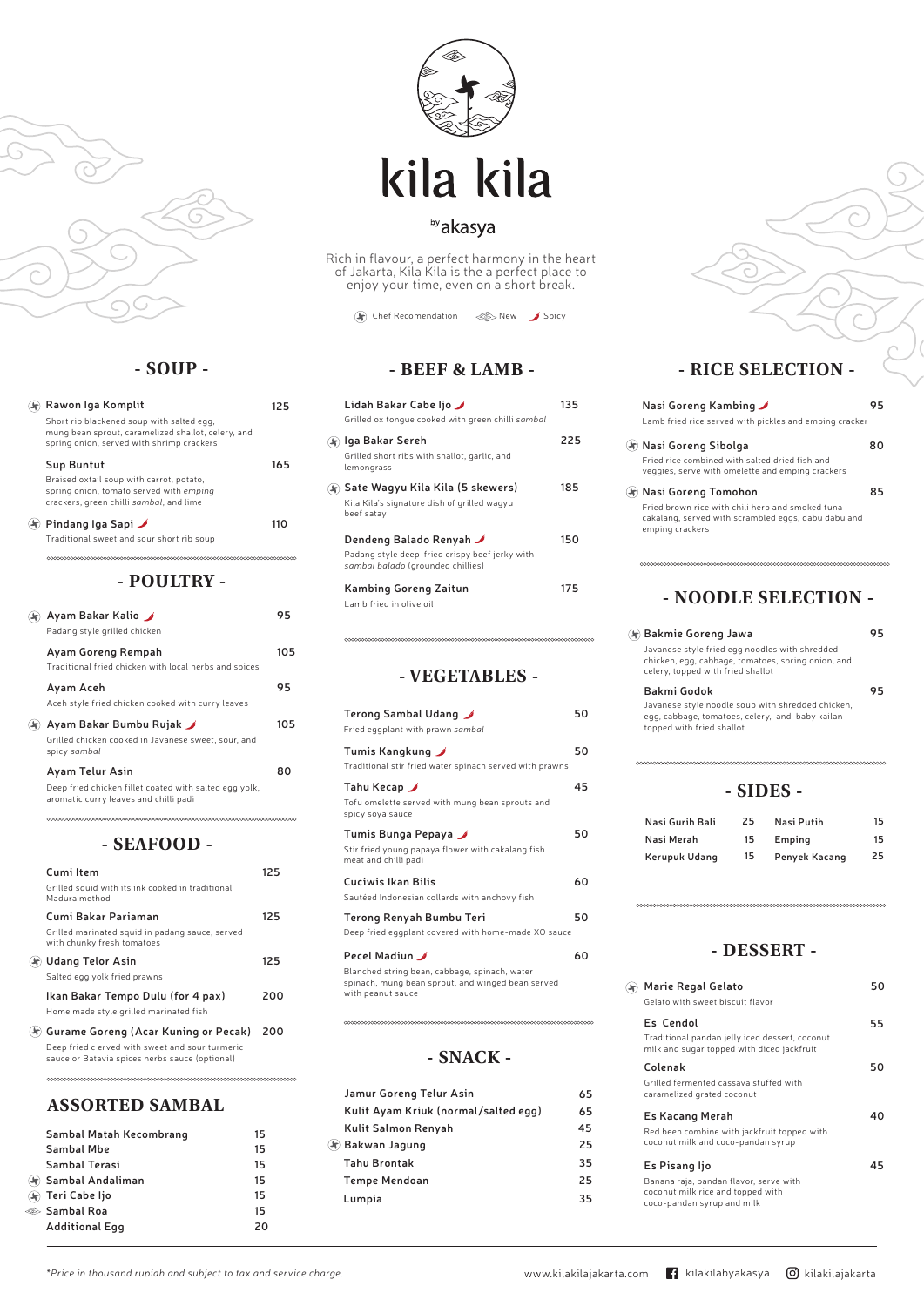### **- POULTRY -**

| Ayam Bakar Kalio<br>Padang style grilled chicken                                                |     |
|-------------------------------------------------------------------------------------------------|-----|
| Ayam Goreng Rempah<br>Traditional fried chicken with local herbs and spices                     | 105 |
| Ayam Aceh<br>Aceh style fried chicken cooked with curry leaves                                  | 95  |
| Ayam Bakar Bumbu Rujak J<br>Grilled chicken cooked in Javanese sweet, sour, and<br>spicy sambal | 105 |
| Ayam Telur Asin                                                                                 |     |
| Deep fried chicken fillet coated with salted egg yolk,<br>aromatic curry leaves and chilli padi |     |

| Rawon Iga Komplit                                                                                                                            | 125 |
|----------------------------------------------------------------------------------------------------------------------------------------------|-----|
| Short rib blackened soup with salted egg,<br>mung bean sprout, caramelized shallot, celery, and<br>spring onion, served with shrimp crackers |     |
| Sup Buntut                                                                                                                                   | 165 |
| Braised oxtail soup with carrot, potato,<br>spring onion, tomato served with emping<br>crackers, green chilli sambal, and lime               |     |
| Pindang Iga Sapi                                                                                                                             |     |
| Traditional sweet and sour short rib soup                                                                                                    |     |



### **- SOUP -**

### **- SEAFOOD -**

| Lidah Bakar Cabe Ijo ⊿<br>Grilled ox tonque cooked with green chilli sambal                                    | 135 |
|----------------------------------------------------------------------------------------------------------------|-----|
| Iga Bakar Sereh<br>Grilled short ribs with shallot, garlic, and<br>lemongrass                                  | 225 |
| ) Sate Wagyu Kila Kila (5 skewers)<br>Kila Kila's signature dish of grilled wagyu<br>beef satay                | 185 |
| Dendeng Balado Renyah J<br>Padang style deep-fried crispy beef jerky with<br>sambal balado (grounded chillies) | 150 |
| Kambing Goreng Zaitun<br>Lamb fried in olive oil                                                               |     |

| Cumi Item                                                                     | 125 |
|-------------------------------------------------------------------------------|-----|
| Grilled squid with its ink cooked in traditional<br>Madura method             |     |
| Cumi Bakar Pariaman                                                           | 125 |
| Grilled marinated squid in padang sauce, served<br>with chunky fresh tomatoes |     |
| (h) Udang Telor Asin                                                          | 125 |
| Salted egg yolk fried prawns                                                  |     |



# kila kila

### by akasya

Rich in flavour, a perfect harmony in the heart of Jakarta, Kila Kila is the a perfect place to enjoy your time, even on a short break.

 $\left(\bigoplus$  Chef Recomendation  $\ll$  New Spicy

#### **Gurame Goreng (Acar Kuning or Pecak) 200**

Deep fried c erved with sweet and sour turmeric sauce or Batavia spices herbs sauce (optional)

**Ikan Bakar Tempo Dulu (for 4 pax)**

Home made style grilled marinated fish

**200**

### **- BEEF & LAMB -**

### **- VEGETABLES -**

| Terong Sambal Udang ⊿<br>Fried eggplant with prawn sambal                                         | 50 |
|---------------------------------------------------------------------------------------------------|----|
| Tumis Kangkung ⊿<br>Traditional stir fried water spinach served with prawns                       | 50 |
| Tahu Kecap ⊿<br>Tofu omelette served with mung bean sprouts and<br>spicy soya sauce               | 45 |
| Tumis Bunga Pepaya ⊿<br>Stir fried young papaya flower with cakalang fish<br>meat and chilli padi | 50 |
| Cuciwis Ikan Bilis<br>Sautéed Indonesian collards with anchovy fish                               | 60 |
| Terong Renyah Bumbu Teri<br>Deep fried eggplant covered with home-made XO sauce                   | 50 |
| Pecel Madiun                                                                                      | 60 |

Blanched string bean, cabbage, spinach, water spinach, mung bean sprout, and winged bean served



with peanut sauce

| Nasi Goreng Kambing ⊿                                                                                                      |    |
|----------------------------------------------------------------------------------------------------------------------------|----|
| Lamb fried rice served with pickles and emping cracker                                                                     |    |
| 4) Nasi Goreng Sibolga                                                                                                     | 80 |
| Fried rice combined with salted dried fish and<br>veggies, serve with omelette and emping crackers                         |    |
| $\left\langle \mathbf{\hat{z}}\right\rangle$ Nasi Goreng Tomohon                                                           | 85 |
| Fried brown rice with chili herb and smoked tuna<br>cakalang, served with scrambled eggs, dabu dabu and<br>emping crackers |    |
|                                                                                                                            |    |

### **- RICE SELECTION -**

*\*Price in thousand rupiah and subject to tax and service charge.*

| Sambal Matah Kecombrang   | 15 |
|---------------------------|----|
| <b>Sambal Mbe</b>         | 15 |
| Sambal Terasi             | 15 |
| (h) Sambal Andaliman      | 15 |
| ৰি Teri Cabe Ijo          | 15 |
| <sup>©</sup> > Sambal Roa | 15 |
| <b>Additional Egg</b>     | 20 |
|                           |    |

### **ASSORTED SAMBAL**

### **- NOODLE SELECTION -**

### **- DESSERT -**

| <b>Bakmie Goreng Jawa</b>                                                                                                                 |    |
|-------------------------------------------------------------------------------------------------------------------------------------------|----|
| Javanese style fried egg noodles with shredded<br>chicken, egg, cabbage, tomatoes, spring onion, and<br>celery, topped with fried shallot |    |
| Bakmi Godok                                                                                                                               | 95 |
| Javanese style noodle soup with shredded chicken,<br>egg, cabbage, tomatoes, celery, and baby kailan<br>topped with fried shallot         |    |
|                                                                                                                                           |    |
| - SIDES -                                                                                                                                 |    |

**- SNACK -**

|                     | Jamur Goreng Telur Asin              |  |  |  |
|---------------------|--------------------------------------|--|--|--|
|                     | Kulit Ayam Kriuk (normal/salted egg) |  |  |  |
| Kulit Salmon Renyah |                                      |  |  |  |
|                     | (5) Bakwan Jagung                    |  |  |  |
|                     | <b>Tahu Brontak</b>                  |  |  |  |
|                     | <b>Tempe Mendoan</b>                 |  |  |  |
|                     | Lumpia                               |  |  |  |
|                     |                                      |  |  |  |

**35 25 35**

| Nasi Gurih Bali      | 25 | Nasi Putih    | 15 |
|----------------------|----|---------------|----|
| Nasi Merah           | 15 | Emping        | 15 |
| <b>Kerupuk Udang</b> | 15 | Penyek Kacang | 25 |

**Marie Regal Gelato**

#### **Es Cendol**

#### **Colenak**

#### **Es Kacang Merah**

#### **Es Pisang Ijo**

Gelato with sweet biscuit flavor

Grilled fermented cassava stuffed with caramelized grated coconut

Red been combine with jackfruit topped with coconut milk and coco-pandan syrup

Banana raja, pandan flavor, serve with coconut milk rice and topped with coco-pandan syrup and milk

Traditional pandan jelly iced dessert, coconut milk and sugar topped with diced jackfruit

**55**

**50**

**40**